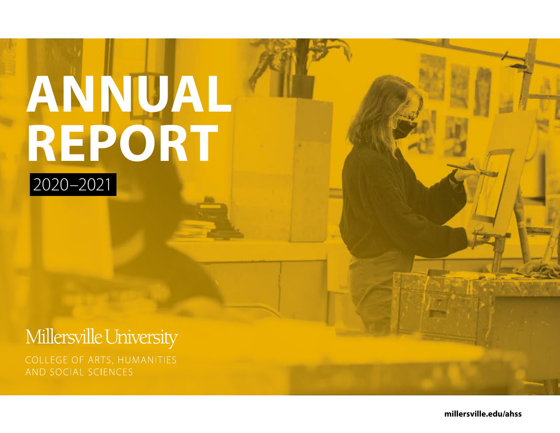# **ANNUAL REPORT** 2020–2021

### Millersville University

COLLEGE OF ARTS, HUMANITIES AND SOCIAL SCIENCES

**millersville.edu/ahss**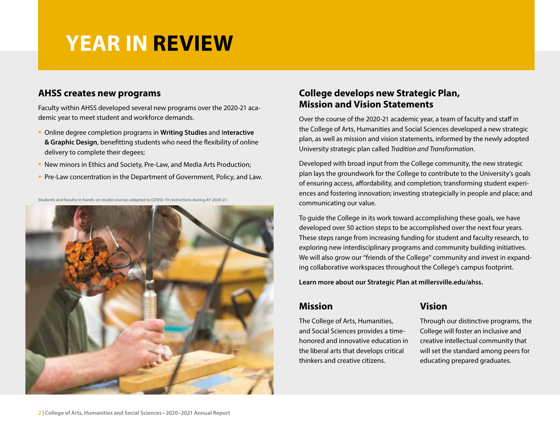## **YEAR IN REVIEW**

#### **AHSS creates new programs**

Faculty within AHSS developed several new programs over the 2020-21 academic year to meet student and workforce demands.

- Online degree completion programs in **Writing Studies** and I**nteractive & Graphic Design**, benefitting students who need the flexibility of online delivery to complete their degees;
- New minors in Ethics and Society, Pre-Law, and Media Arts Production;
- Pre-Law concentration in the Department of Government, Policy, and Law.

**Students and faculty in hands-on studio courses adapted to COVID-19 restrictions during AY 2020-21.**



#### **College develops new Strategic Plan, Mission and Vision Statements**

Over the course of the 2020-21 academic year, a team of faculty and staff in the College of Arts, Humanities and Social Sciences developed a new strategic plan, as well as mission and vision statements, informed by the newly adopted University strategic plan called *Tradition and Transformation*.

Developed with broad input from the College community, the new strategic plan lays the groundwork for the College to contribute to the University's goals of ensuring access, affordability, and completion; transforming student experiences and fostering innovation; investing strategicially in people and place; and communicating our value.

To guide the College in its work toward accomplishing these goals, we have developed over 50 action steps to be accomplished over the next four years. These steps range from increasing funding for student and faculty research, to exploring new interdisciplinary programs and community building initiatives. We will also grow our "friends of the College" community and invest in expanding collaborative workspaces throughout the College's campus footprint.

**Learn more about our Strategic Plan at millersville.edu/ahss.**

#### **Mission**

The College of Arts, Humanities, and Social Sciences provides a timehonored and innovative education in the liberal arts that develops critical thinkers and creative citizens.

#### **Vision**

Through our distinctive programs, the College will foster an inclusive and creative intellectual community that will set the standard among peers for educating prepared graduates.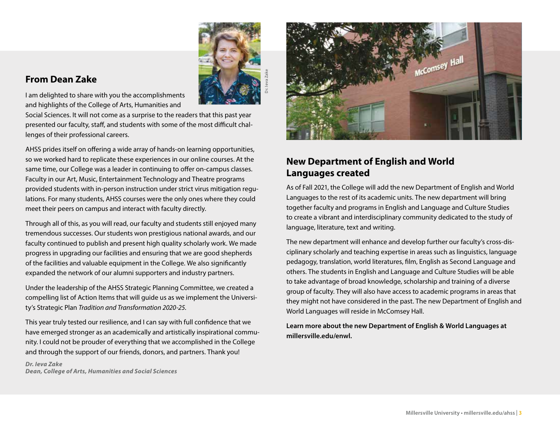#### **From Dean Zake**

**Dr. Ieva Zake**

### I am delighted to share with you the accomplishments

and highlights of the College of Arts, Humanities and Social Sciences. It will not come as a surprise to the readers that this past year

presented our faculty, staff, and students with some of the most difficult challenges of their professional careers.

AHSS prides itself on offering a wide array of hands-on learning opportunities, so we worked hard to replicate these experiences in our online courses. At the same time, our College was a leader in continuing to offer on-campus classes. Faculty in our Art, Music, Entertainment Technology and Theatre programs provided students with in-person instruction under strict virus mitigation regulations. For many students, AHSS courses were the only ones where they could meet their peers on campus and interact with faculty directly.

Through all of this, as you will read, our faculty and students still enjoyed many tremendous successes. Our students won prestigious national awards, and our faculty continued to publish and present high quality scholarly work. We made progress in upgrading our facilities and ensuring that we are good shepherds of the facilities and valuable equipment in the College. We also significantly expanded the network of our alumni supporters and industry partners.

Under the leadership of the AHSS Strategic Planning Committee, we created a compelling list of Action Items that will guide us as we implement the University's Strategic Plan *Tradition and Transformation 2020-25*.

This year truly tested our resilience, and I can say with full confidence that we have emerged stronger as an academically and artistically inspirational community. I could not be prouder of everything that we accomplished in the College and through the support of our friends, donors, and partners. Thank you!

*Dr. Ieva Zake Dean, College of Arts, Humanities and Social Sciences*



#### **New Department of English and World Languages created**

As of Fall 2021, the College will add the new Department of English and World Languages to the rest of its academic units. The new department will bring together faculty and programs in English and Language and Culture Studies to create a vibrant and interdisciplinary community dedicated to the study of language, literature, text and writing.

The new department will enhance and develop further our faculty's cross-disciplinary scholarly and teaching expertise in areas such as linguistics, language pedagogy, translation, world literatures, film, English as Second Language and others. The students in English and Language and Culture Studies will be able to take advantage of broad knowledge, scholarship and training of a diverse group of faculty. They will also have access to academic programs in areas that they might not have considered in the past. The new Department of English and World Languages will reside in McComsey Hall.

**Learn more about the new Department of English & World Languages at millersville.edu/enwl.**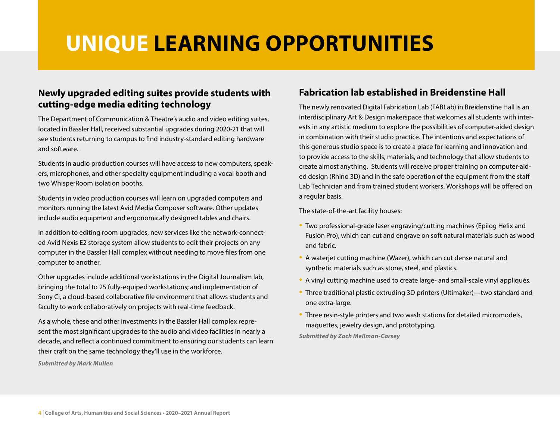# **UNIQUE LEARNING OPPORTUNITIES**

#### **Newly upgraded editing suites provide students with cutting-edge media editing technology**

The Department of Communication & Theatre's audio and video editing suites, located in Bassler Hall, received substantial upgrades during 2020-21 that will see students returning to campus to find industry-standard editing hardware and software.

Students in audio production courses will have access to new computers, speakers, microphones, and other specialty equipment including a vocal booth and two WhisperRoom isolation booths.

Students in video production courses will learn on upgraded computers and monitors running the latest Avid Media Composer software. Other updates include audio equipment and ergonomically designed tables and chairs.

In addition to editing room upgrades, new services like the network-connected Avid Nexis E2 storage system allow students to edit their projects on any computer in the Bassler Hall complex without needing to move files from one computer to another.

Other upgrades include additional workstations in the Digital Journalism lab, bringing the total to 25 fully-equiped workstations; and implementation of Sony Ci, a cloud-based collaborative file environment that allows students and faculty to work collaboratively on projects with real-time feedback.

As a whole, these and other investments in the Bassler Hall complex represent the most significant upgrades to the audio and video facilities in nearly a decade, and reflect a continued commitment to ensuring our students can learn their craft on the same technology they'll use in the workforce.

*Submitted by Mark Mullen*

#### **Fabrication lab established in Breidenstine Hall**

The newly renovated Digital Fabrication Lab (FABLab) in Breidenstine Hall is an interdisciplinary Art & Design makerspace that welcomes all students with interests in any artistic medium to explore the possibilities of computer-aided design in combination with their studio practice. The intentions and expectations of this generous studio space is to create a place for learning and innovation and to provide access to the skills, materials, and technology that allow students to create almost anything. Students will receive proper training on computer-aided design (Rhino 3D) and in the safe operation of the equipment from the staff Lab Technician and from trained student workers. Workshops will be offered on a regular basis.

The state-of-the-art facility houses:

- Two professional-grade laser engraving/cutting machines (Epilog Helix and Fusion Pro), which can cut and engrave on soft natural materials such as wood and fabric.
- A waterjet cutting machine (Wazer), which can cut dense natural and synthetic materials such as stone, steel, and plastics.
- A vinyl cutting machine used to create large- and small-scale vinyl appliqués.
- Three traditional plastic extruding 3D printers (Ultimaker)—two standard and one extra-large.
- Three resin-style printers and two wash stations for detailed micromodels, maquettes, jewelry design, and prototyping.

*Submitted by Zach Mellman-Carsey*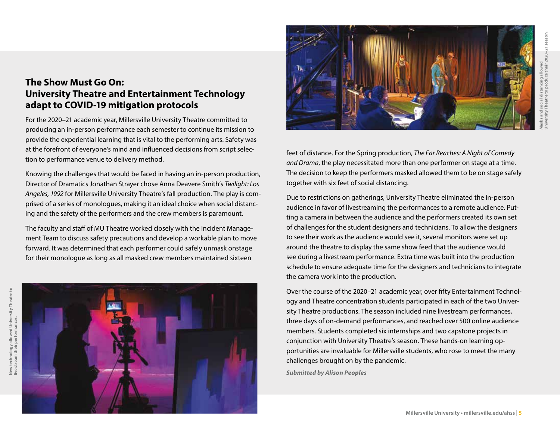#### **The Show Must Go On: University Theatre and Entertainment Technology adapt to COVID-19 mitigation protocols**

For the 2020–21 academic year, Millersville University Theatre committed to producing an in-person performance each semester to continue its mission to provide the experiential learning that is vital to the performing arts. Safety was at the forefront of everyone's mind and influenced decisions from script selection to performance venue to delivery method.

Knowing the challenges that would be faced in having an in-person production, Director of Dramatics Jonathan Strayer chose Anna Deavere Smith's *Twilight: Los Angeles, 1992* for Millersville University Theatre's fall production. The play is comprised of a series of monologues, making it an ideal choice when social distancing and the safety of the performers and the crew members is paramount.

The faculty and staff of MU Theatre worked closely with the Incident Management Team to discuss safety precautions and develop a workable plan to move forward. It was determined that each performer could safely unmask onstage for their monologue as long as all masked crew members maintained sixteen





feet of distance. For the Spring production, *The Far Reaches: A Night of Comedy and Drama*, the play necessitated more than one performer on stage at a time. The decision to keep the performers masked allowed them to be on stage safely together with six feet of social distancing.

Due to restrictions on gatherings, University Theatre eliminated the in-person audience in favor of livestreaming the performances to a remote audience. Putting a camera in between the audience and the performers created its own set of challenges for the student designers and technicians. To allow the designers to see their work as the audience would see it, several monitors were set up around the theatre to display the same show feed that the audience would see during a livestream performance. Extra time was built into the production schedule to ensure adequate time for the designers and technicians to integrate the camera work into the production.

Over the course of the 2020–21 academic year, over fifty Entertainment Technology and Theatre concentration students participated in each of the two University Theatre productions. The season included nine livestream performances, three days of on-demand performances, and reached over 500 online audience members. Students completed six internships and two capstone projects in conjunction with University Theatre's season. These hands-on learning opportunities are invaluable for Millersville students, who rose to meet the many challenges brought on by the pandemic.

*Submitted by Alison Peoples*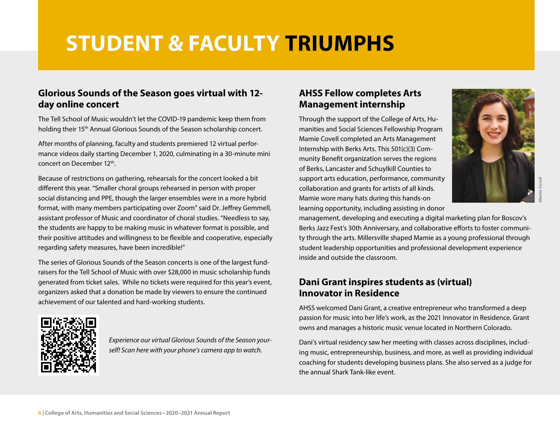# **STUDENT & FACULTY TRIUMPHS**

#### **Glorious Sounds of the Season goes virtual with 12 day online concert**

The Tell School of Music wouldn't let the COVID-19 pandemic keep them from holding their 15th Annual Glorious Sounds of the Season scholarship concert.

After months of planning, faculty and students premiered 12 virtual performance videos daily starting December 1, 2020, culminating in a 30-minute mini concert on December 12th.

Because of restrictions on gathering, rehearsals for the concert looked a bit different this year. "Smaller choral groups rehearsed in person with proper social distancing and PPE, though the larger ensembles were in a more hybrid format, with many members participating over Zoom" said Dr. Jeffrey Gemmell, assistant professor of Music and coordinator of choral studies. "Needless to say, the students are happy to be making music in whatever format is possible, and their positive attitudes and willingness to be flexible and cooperative, especially regarding safety measures, have been incredible!"

The series of Glorious Sounds of the Season concerts is one of the largest fundraisers for the Tell School of Music with over \$28,000 in music scholarship funds generated from ticket sales. While no tickets were required for this year's event, organizers asked that a donation be made by viewers to ensure the continued achievement of our talented and hard-working students.



*Experience our virtual Glorious Sounds of the Season yourself! Scan here with your phone's camera app to watch.*

#### **AHSS Fellow completes Arts Management internship**

Through the support of the College of Arts, Humanities and Social Sciences Fellowship Program Mamie Covell completed an Arts Management Internship with Berks Arts. This 501(c)(3) Community Benefit organization serves the regions of Berks, Lancaster and Schuylkill Counties to support arts education, performance, community collaboration and grants for artists of all kinds. Mamie wore many hats during this hands-on learning opportunity, including assisting in donor



management, developing and executing a digital marketing plan for Boscov's Berks Jazz Fest's 30th Anniversary, and collaborative efforts to foster community through the arts. Millersville shaped Mamie as a young professional through student leadership opportunities and professional development experience inside and outside the classroom.

#### **Dani Grant inspires students as (virtual) Innovator in Residence**

AHSS welcomed Dani Grant, a creative entrepreneur who transformed a deep passion for music into her life's work, as the 2021 Innovator in Residence. Grant owns and manages a historic music venue located in Northern Colorado.

Dani's virtual residency saw her meeting with classes across disciplines, including music, entrepreneurship, business, and more, as well as providing individual coaching for students developing business plans. She also served as a judge for the annual Shark Tank-like event.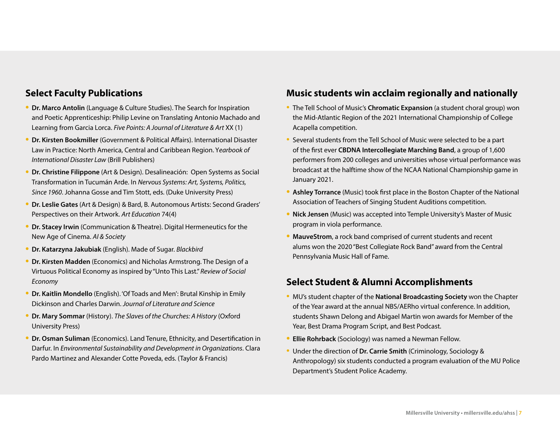#### **Select Faculty Publications**

- **• Dr. Marco Antolin** (Language & Culture Studies). The Search for Inspiration and Poetic Apprenticeship: Philip Levine on Translating Antonio Machado and Learning from Garcia Lorca. *Five Points: A Journal of Literature & Art* XX (1)
- **• Dr. Kirsten Bookmiller** (Government & Political Affairs). International Disaster Law in Practice: North America, Central and Caribbean Region. Y*earbook of International Disaster Law* (Brill Publishers)
- **• Dr. Christine Filippone** (Art & Design). Desalineación: Open Systems as Social Transformation in Tucumán Arde. In *Nervous Systems: Art, Systems, Politics, Since 1960*. Johanna Gosse and Tim Stott, eds. (Duke University Press)
- **• Dr. Leslie Gates** (Art & Design) & Bard, B. Autonomous Artists: Second Graders' Perspectives on their Artwork. *Art Education* 74(4)
- **• Dr. Stacey Irwin** (Communication & Theatre). Digital Hermeneutics for the New Age of Cinema. *AI & Society*
- **• Dr. Katarzyna Jakubiak** (English). Made of Sugar. *Blackbird*
- **• Dr. Kirsten Madden** (Economics) and Nicholas Armstrong. The Design of a Virtuous Political Economy as inspired by "Unto This Last." *Review of Social Economy*
- **• Dr. Kaitlin Mondello** (English). 'Of Toads and Men': Brutal Kinship in Emily Dickinson and Charles Darwin. *Journal of Literature and Science*
- **• Dr. Mary Sommar** (History). *The Slaves of the Churches: A History* (Oxford University Press)
- **• Dr. Osman Suliman** (Economics). Land Tenure, Ethnicity, and Desertification in Darfur. In *Environmental Sustainability and Development in Organizations*. Clara Pardo Martinez and Alexander Cotte Poveda, eds. (Taylor & Francis)

#### **Music students win acclaim regionally and nationally**

- The Tell School of Music's **Chromatic Expansion** (a student choral group) won the Mid-Atlantic Region of the 2021 International Championship of College Acapella competition.
- Several students from the Tell School of Music were selected to be a part of the first ever **CBDNA Intercollegiate Marching Band**, a group of 1,600 performers from 200 colleges and universities whose virtual performance was broadcast at the halftime show of the NCAA National Championship game in January 2021.
- **• Ashley Torrance** (Music) took first place in the Boston Chapter of the National Association of Teachers of Singing Student Auditions competition.
- **• Nick Jensen** (Music) was accepted into Temple University's Master of Music program in viola performance.
- **• MauveStrom**, a rock band comprised of current students and recent alums won the 2020 "Best Collegiate Rock Band" award from the Central Pennsylvania Music Hall of Fame.

#### **Select Student & Alumni Accomplishments**

- MU's student chapter of the **National Broadcasting Society** won the Chapter of the Year award at the annual NBS/AERho virtual conference. In addition, students Shawn Delong and Abigael Martin won awards for Member of the Year, Best Drama Program Script, and Best Podcast.
- **• Ellie Rohrback** (Sociology) was named a Newman Fellow.
- Under the direction of **Dr. Carrie Smith** (Criminology, Sociology & Anthropology) six students conducted a program evaluation of the MU Police Department's Student Police Academy.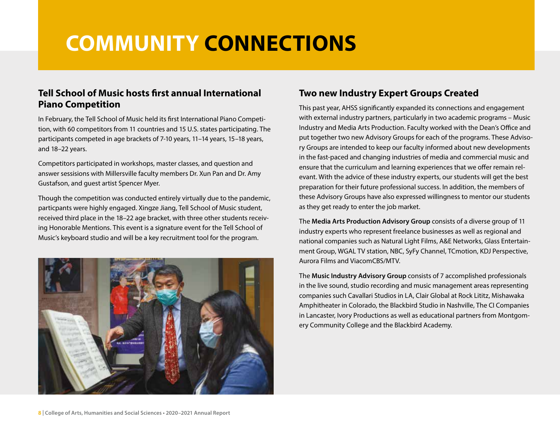# **COMMUNITY CONNECTIONS**

#### **Tell School of Music hosts first annual International Piano Competition**

In February, the Tell School of Music held its first International Piano Competition, with 60 competitors from 11 countries and 15 U.S. states participating. The participants competed in age brackets of 7-10 years, 11–14 years, 15–18 years, and 18–22 years.

Competitors participated in workshops, master classes, and question and answer sessisions with Millersville faculty members Dr. Xun Pan and Dr. Amy Gustafson, and guest artist Spencer Myer.

Though the competition was conducted entirely virtually due to the pandemic, particpants were highly engaged. Xingze Jiang, Tell School of Music student, received third place in the 18–22 age bracket, with three other students receiving Honorable Mentions. This event is a signature event for the Tell School of Music's keyboard studio and will be a key recruitment tool for the program.



#### **Two new Industry Expert Groups Created**

This past year, AHSS significantly expanded its connections and engagement with external industry partners, particularly in two academic programs – Music Industry and Media Arts Production. Faculty worked with the Dean's Office and put together two new Advisory Groups for each of the programs. These Advisory Groups are intended to keep our faculty informed about new developments in the fast-paced and changing industries of media and commercial music and ensure that the curriculum and learning experiences that we offer remain relevant. With the advice of these industry experts, our students will get the best preparation for their future professional success. In addition, the members of these Advisory Groups have also expressed willingness to mentor our students as they get ready to enter the job market.

The **Media Arts Production Advisory Group** consists of a diverse group of 11 industry experts who represent freelance businesses as well as regional and national companies such as Natural Light Films, A&E Networks, Glass Entertainment Group, WGAL TV station, NBC, SyFy Channel, TCmotion, KDJ Perspective, Aurora Films and ViacomCBS/MTV.

The **Music Industry Advisory Group** consists of 7 accomplished professionals in the live sound, studio recording and music management areas representing companies such Cavallari Studios in LA, Clair Global at Rock Lititz, Mishawaka Amphitheater in Colorado, the Blackbird Studio in Nashville, The CI Companies in Lancaster, Ivory Productions as well as educational partners from Montgomery Community College and the Blackbird Academy.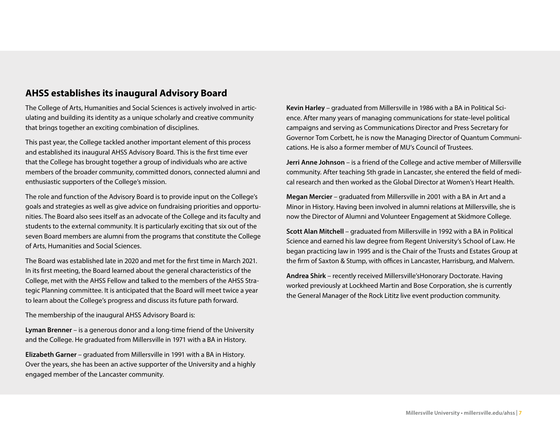#### **AHSS establishes its inaugural Advisory Board**

The College of Arts, Humanities and Social Sciences is actively involved in articulating and building its identity as a unique scholarly and creative community that brings together an exciting combination of disciplines.

This past year, the College tackled another important element of this process and established its inaugural AHSS Advisory Board. This is the first time ever that the College has brought together a group of individuals who are active members of the broader community, committed donors, connected alumni and enthusiastic supporters of the College's mission.

The role and function of the Advisory Board is to provide input on the College's goals and strategies as well as give advice on fundraising priorities and opportunities. The Board also sees itself as an advocate of the College and its faculty and students to the external community. It is particularly exciting that six out of the seven Board members are alumni from the programs that constitute the College of Arts, Humanities and Social Sciences.

The Board was established late in 2020 and met for the first time in March 2021. In its first meeting, the Board learned about the general characteristics of the College, met with the AHSS Fellow and talked to the members of the AHSS Strategic Planning committee. It is anticipated that the Board will meet twice a year to learn about the College's progress and discuss its future path forward.

The membership of the inaugural AHSS Advisory Board is:

**Lyman Brenner** – is a generous donor and a long-time friend of the University and the College. He graduated from Millersville in 1971 with a BA in History.

**Elizabeth Garner** – graduated from Millersville in 1991 with a BA in History. Over the years, she has been an active supporter of the University and a highly engaged member of the Lancaster community.

**Kevin Harley** – graduated from Millersville in 1986 with a BA in Political Science. After many years of managing communications for state-level political campaigns and serving as Communications Director and Press Secretary for Governor Tom Corbett, he is now the Managing Director of Quantum Communications. He is also a former member of MU's Council of Trustees.

**Jerri Anne Johnson** – is a friend of the College and active member of Millersville community. After teaching 5th grade in Lancaster, she entered the field of medical research and then worked as the Global Director at Women's Heart Health.

**Megan Mercier** – graduated from Millersville in 2001 with a BA in Art and a Minor in History. Having been involved in alumni relations at Millersville, she is now the Director of Alumni and Volunteer Engagement at Skidmore College.

**Scott Alan Mitchell** – graduated from Millersville in 1992 with a BA in Political Science and earned his law degree from Regent University's School of Law. He began practicing law in 1995 and is the Chair of the Trusts and Estates Group at the firm of Saxton & Stump, with offices in Lancaster, Harrisburg, and Malvern.

**Andrea Shirk** – recently received Millersville'sHonorary Doctorate. Having worked previously at Lockheed Martin and Bose Corporation, she is currently the General Manager of the Rock Lititz live event production community.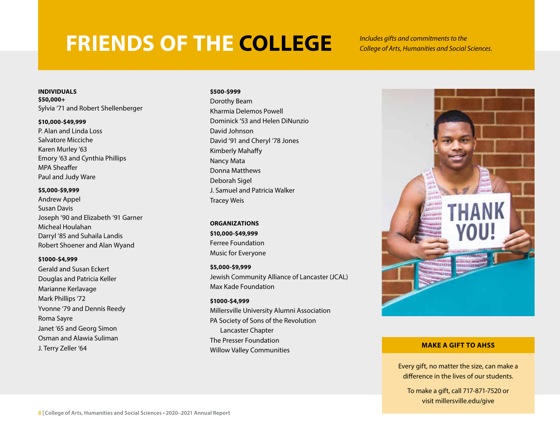## **FRIENDS OF THE COLLEGE** *Includes gifts and commitments to the*

*College of Arts, Humanities and Social Sciences.*

**INDIVIDUALS \$50,000+** Sylvia '71 and Robert Shellenberger

#### **\$10,000-\$49,999** P. Alan and Linda Loss Salvatore Micciche Karen Murley '63 Emory '63 and Cynthia Phillips MPA Sheaffer Paul and Judy Ware

#### **\$5,000-\$9,999**

Andrew Appel Susan Davis Joseph '90 and Elizabeth '91 Garner Micheal Houlahan Darryl '85 and Suhaila Landis Robert Shoener and Alan Wyand

#### **\$1000-\$4,999**

Gerald and Susan Eckert Douglas and Patricia Keller Marianne Kerlavage Mark Phillips '72 Yvonne '79 and Dennis Reedy Roma Sayre Janet '65 and Georg Simon Osman and Alawia Suliman J. Terry Zeller '64

#### **\$500-\$999**

Dorothy Beam Kharmia Delemos Powell Dominick '53 and Helen DiNunzio David Johnson David '91 and Cheryl '78 Jones Kimberly Mahaffy Nancy Mata Donna Matthews Deborah Sigel J. Samuel and Patricia Walker Tracey Weis

#### **ORGANIZATIONS \$10,000-\$49,999**

Ferree Foundation Music for Everyone

**\$5,000-\$9,999** Jewish Community Alliance of Lancaster (JCAL) Max Kade Foundation

#### **\$1000-\$4,999**

Millersville University Alumni Association PA Society of Sons of the Revolution Lancaster Chapter The Presser Foundation Willow Valley Communities



#### **MAKE A GIFT TO AHSS**

Every gift, no matter the size, can make a difference in the lives of our students.

To make a gift, call 717-871-7520 or visit millersville.edu/give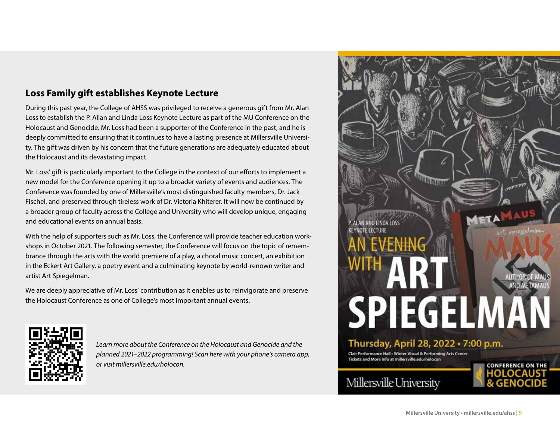#### **Loss Family gift establishes Keynote Lecture**

During this past year, the College of AHSS was privileged to receive a generous gift from Mr. Alan Loss to establish the P. Allan and Linda Loss Keynote Lecture as part of the MU Conference on the Holocaust and Genocide. Mr. Loss had been a supporter of the Conference in the past, and he is deeply committed to ensuring that it continues to have a lasting presence at Millersville University. The gift was driven by his concern that the future generations are adequately educated about the Holocaust and its devastating impact.

Mr. Loss' gift is particularly important to the College in the context of our efforts to implement a new model for the Conference opening it up to a broader variety of events and audiences. The Conference was founded by one of Millersville's most distinguished faculty members, Dr. Jack Fischel, and preserved through tireless work of Dr. Victoria Khiterer. It will now be continued by a broader group of faculty across the College and University who will develop unique, engaging and educational events on annual basis.

With the help of supporters such as Mr. Loss, the Conference will provide teacher education workshops in October 2021. The following semester, the Conference will focus on the topic of remembrance through the arts with the world premiere of a play, a choral music concert, an exhibition in the Eckert Art Gallery, a poetry event and a culminating keynote by world-renown writer and artist Art Spiegelman.

We are deeply appreciative of Mr. Loss' contribution as it enables us to reinvigorate and preserve the Holocaust Conference as one of College's most important annual events.



*Learn more about the Conference on the Holocaust and Genocide and the planned 2021–2022 programming! Scan here with your phone's camera app, or visit millersville.edu/holocon.*